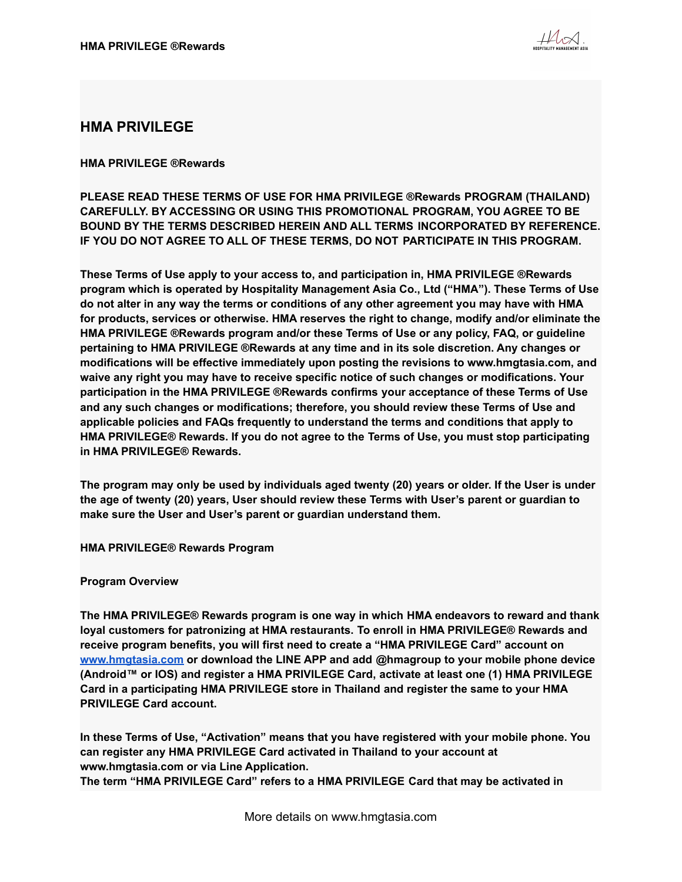

# **HMA PRIVILEGE**

# **HMA PRIVILEGE ®Rewards**

**PLEASE READ THESE TERMS OF USE FOR HMA PRIVILEGE ®Rewards PROGRAM (THAILAND) CAREFULLY. BY ACCESSING OR USING THIS PROMOTIONAL PROGRAM, YOU AGREE TO BE BOUND BY THE TERMS DESCRIBED HEREIN AND ALL TERMS INCORPORATED BY REFERENCE. IF YOU DO NOT AGREE TO ALL OF THESE TERMS, DO NOT PARTICIPATE IN THIS PROGRAM.**

**These Terms of Use apply to your access to, and participation in, HMA PRIVILEGE ®Rewards program which is operated by Hospitality Management Asia Co., Ltd ("HMA"). These Terms of Use** do not alter in any way the terms or conditions of any other agreement you may have with HMA **for products, services or otherwise. HMA reserves the right to change, modify and/or eliminate the HMA PRIVILEGE ®Rewards program and/or these Terms of Use or any policy, FAQ, or guideline pertaining to HMA PRIVILEGE ®Rewards at any time and in its sole discretion. Any changes or modifications will be effective immediately upon posting the revisions to www.hmgtasia.com, and waive any right you may have to receive specific notice of such changes or modifications. Your participation in the HMA PRIVILEGE ®Rewards confirms your acceptance of these Terms of Use and any such changes or modifications; therefore, you should review these Terms of Use and applicable policies and FAQs frequently to understand the terms and conditions that apply to HMA PRIVILEGE® Rewards. If you do not agree to the Terms of Use, you must stop participating in HMA PRIVILEGE® Rewards.**

The program may only be used by individuals aged twenty (20) years or older. If the User is under **the age of twenty (20) years, User should review these Terms with User's parent or guardian to make sure the User and User's parent or guardian understand them.**

**HMA PRIVILEGE® Rewards Program**

### **Program Overview**

**The HMA PRIVILEGE® Rewards program is one way in which HMA endeavors to reward and thank loyal customers for patronizing at HMA restaurants. To enroll in HMA PRIVILEGE® Rewards and receive program benefits, you will first need to create a "HMA PRIVILEGE Card" account on [www.hmgtasia.com](http://www.hmgrasia.com) or download the LINE APP and add @hmagroup to your mobile phone device (Android™ or IOS) and register a HMA PRIVILEGE Card, activate at least one (1) HMA PRIVILEGE Card in a participating HMA PRIVILEGE store in Thailand and register the same to your HMA PRIVILEGE Card account.**

**In these Terms of Use, "Activation" means that you have registered with your mobile phone. You can register any HMA PRIVILEGE Card activated in Thailand to your account at www.hmgtasia.com or via Line Application. The term "HMA PRIVILEGE Card" refers to a HMA PRIVILEGE Card that may be activated in**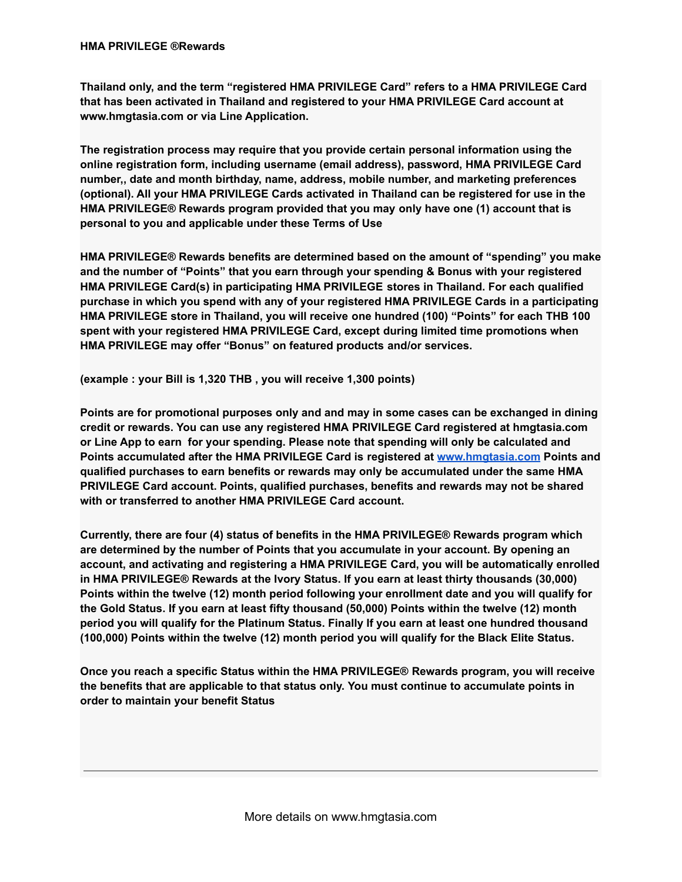**Thailand only, and the term "registered HMA PRIVILEGE Card" refers to a HMA PRIVILEGE Card that has been activated in Thailand and registered to your HMA PRIVILEGE Card account at www.hmgtasia.com or via Line Application.**

**The registration process may require that you provide certain personal information using the online registration form, including username (email address), password, HMA PRIVILEGE Card number,, date and month birthday, name, address, mobile number, and marketing preferences (optional). All your HMA PRIVILEGE Cards activated in Thailand can be registered for use in the HMA PRIVILEGE® Rewards program provided that you may only have one (1) account that is personal to you and applicable under these Terms of Use**

**HMA PRIVILEGE® Rewards benefits are determined based on the amount of "spending" you make and the number of "Points" that you earn through your spending & Bonus with your registered HMA PRIVILEGE Card(s) in participating HMA PRIVILEGE stores in Thailand. For each qualified purchase in which you spend with any of your registered HMA PRIVILEGE Cards in a participating HMA PRIVILEGE store in Thailand, you will receive one hundred (100) "Points" for each THB 100 spent with your registered HMA PRIVILEGE Card, except during limited time promotions when HMA PRIVILEGE may offer "Bonus" on featured products and/or services.**

**(example : your Bill is 1,320 THB , you will receive 1,300 points)**

**Points are for promotional purposes only and and may in some cases can be exchanged in dining credit or rewards. You can use any registered HMA PRIVILEGE Card registered at hmgtasia.com or Line App to earn for your spending. Please note that spending will only be calculated and Points accumulated after the HMA PRIVILEGE Card is registered at [www.hmgtasia.com](http://www.hmgtasia.com) Points and qualified purchases to earn benefits or rewards may only be accumulated under the same HMA PRIVILEGE Card account. Points, qualified purchases, benefits and rewards may not be shared with or transferred to another HMA PRIVILEGE Card account.**

**Currently, there are four (4) status of benefits in the HMA PRIVILEGE® Rewards program which are determined by the number of Points that you accumulate in your account. By opening an account, and activating and registering a HMA PRIVILEGE Card, you will be automatically enrolled in HMA PRIVILEGE® Rewards at the Ivory Status. If you earn at least thirty thousands (30,000) Points within the twelve (12) month period following your enrollment date and you will qualify for the Gold Status. If you earn at least fifty thousand (50,000) Points within the twelve (12) month period you will qualify for the Platinum Status. Finally If you earn at least one hundred thousand (100,000) Points within the twelve (12) month period you will qualify for the Black Elite Status.**

**Once you reach a specific Status within the HMA PRIVILEGE® Rewards program, you will receive the benefits that are applicable to that status only. You must continue to accumulate points in order to maintain your benefit Status**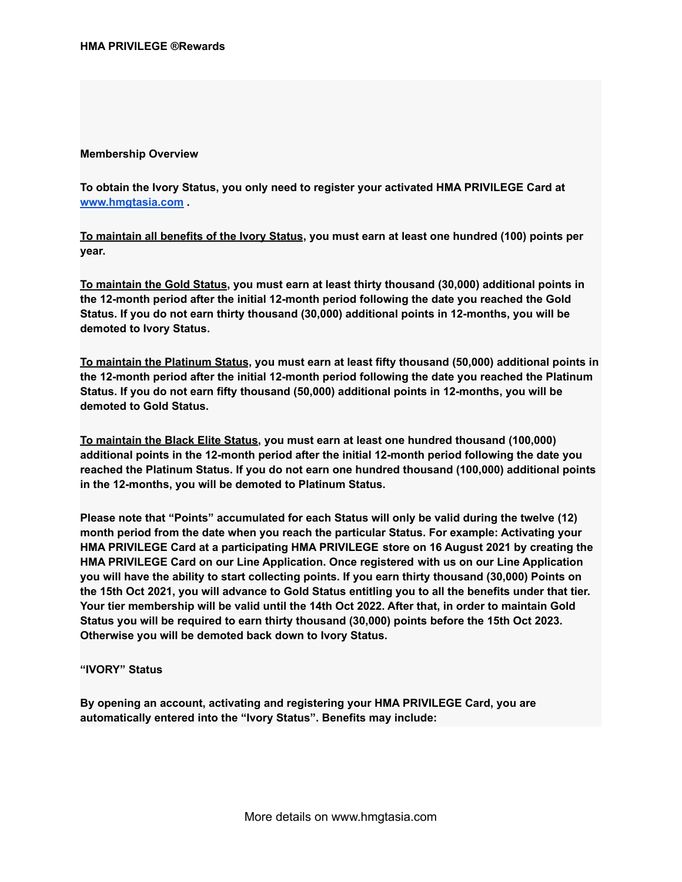## **Membership Overview**

**To obtain the Ivory Status, you only need to register your activated HMA PRIVILEGE Card at [www.hmgtasia.com](http://www.hmgtasia.com) .**

**To maintain all benefits of the Ivory Status, you must earn at least one hundred (100) points per year.**

**To maintain the Gold Status, you must earn at least thirty thousand (30,000) additional points in the 12-month period after the initial 12-month period following the date you reached the Gold Status. If you do not earn thirty thousand (30,000) additional points in 12-months, you will be demoted to Ivory Status.**

**To maintain the Platinum Status, you must earn at least fifty thousand (50,000) additional points in the 12-month period after the initial 12-month period following the date you reached the Platinum Status. If you do not earn fifty thousand (50,000) additional points in 12-months, you will be demoted to Gold Status.**

**To maintain the Black Elite Status, you must earn at least one hundred thousand (100,000) additional points in the 12-month period after the initial 12-month period following the date you reached the Platinum Status. If you do not earn one hundred thousand (100,000) additional points in the 12-months, you will be demoted to Platinum Status.**

**Please note that "Points" accumulated for each Status will only be valid during the twelve (12) month period from the date when you reach the particular Status. For example: Activating your HMA PRIVILEGE Card at a participating HMA PRIVILEGE store on 16 August 2021 by creating the HMA PRIVILEGE Card on our Line Application. Once registered with us on our Line Application you will have the ability to start collecting points. If you earn thirty thousand (30,000) Points on** the 15th Oct 2021, you will advance to Gold Status entitling you to all the benefits under that tier. **Your tier membership will be valid until the 14th Oct 2022. After that, in order to maintain Gold Status you will be required to earn thirty thousand (30,000) points before the 15th Oct 2023. Otherwise you will be demoted back down to Ivory Status.**

**"IVORY" Status**

**By opening an account, activating and registering your HMA PRIVILEGE Card, you are automatically entered into the "Ivory Status". Benefits may include:**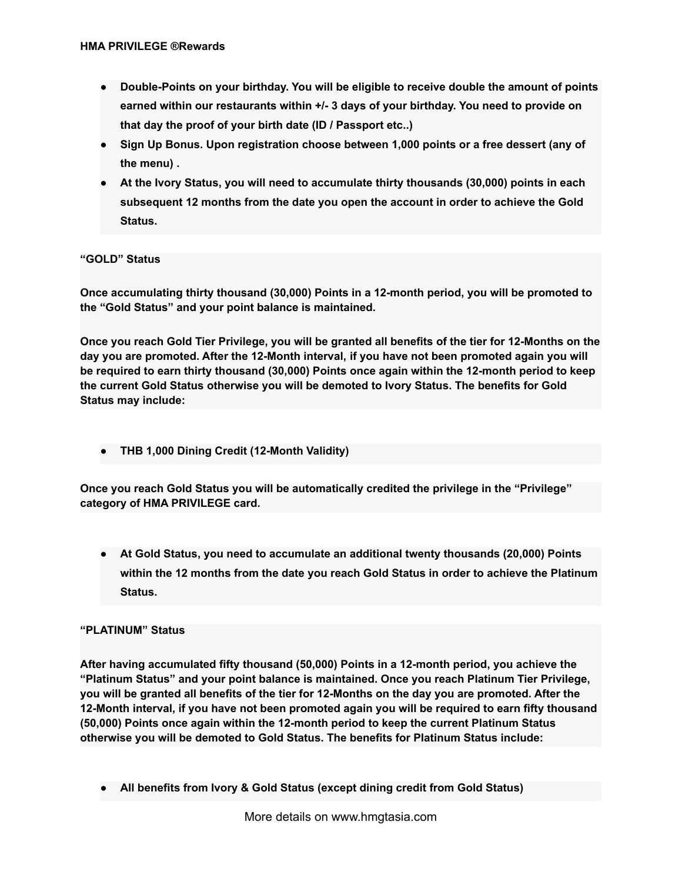- **● Double-Points on your birthday. You will be eligible to receive double the amount of points earned within our restaurants within +/- 3 days of your birthday. You need to provide on that day the proof of your birth date (ID / Passport etc..)**
- **● Sign Up Bonus. Upon registration choose between 1,000 points or a free dessert (any of the menu) .**
- **● At the Ivory Status, you will need to accumulate thirty thousands (30,000) points in each subsequent 12 months from the date you open the account in order to achieve the Gold Status.**

# **"GOLD" Status**

**Once accumulating thirty thousand (30,000) Points in a 12-month period, you will be promoted to the "Gold Status" and your point balance is maintained.**

Once you reach Gold Tier Privilege, you will be granted all benefits of the tier for 12-Months on the **day you are promoted. After the 12-Month interval, if you have not been promoted again you will be required to earn thirty thousand (30,000) Points once again within the 12-month period to keep the current Gold Status otherwise you will be demoted to Ivory Status. The benefits for Gold Status may include:**

**● THB 1,000 Dining Credit (12-Month Validity)**

**Once you reach Gold Status you will be automatically credited the privilege in the "Privilege" category of HMA PRIVILEGE card.**

**● At Gold Status, you need to accumulate an additional twenty thousands (20,000) Points within the 12 months from the date you reach Gold Status in order to achieve the Platinum Status.**

## **"PLATINUM" Status**

**After having accumulated fifty thousand (50,000) Points in a 12-month period, you achieve the "Platinum Status" and your point balance is maintained. Once you reach Platinum Tier Privilege,** vou will be granted all benefits of the tier for 12-Months on the day you are promoted. After the **12-Month interval, if you have not been promoted again you will be required to earn fifty thousand (50,000) Points once again within the 12-month period to keep the current Platinum Status otherwise you will be demoted to Gold Status. The benefits for Platinum Status include:**

**● All benefits from Ivory & Gold Status (except dining credit from Gold Status)**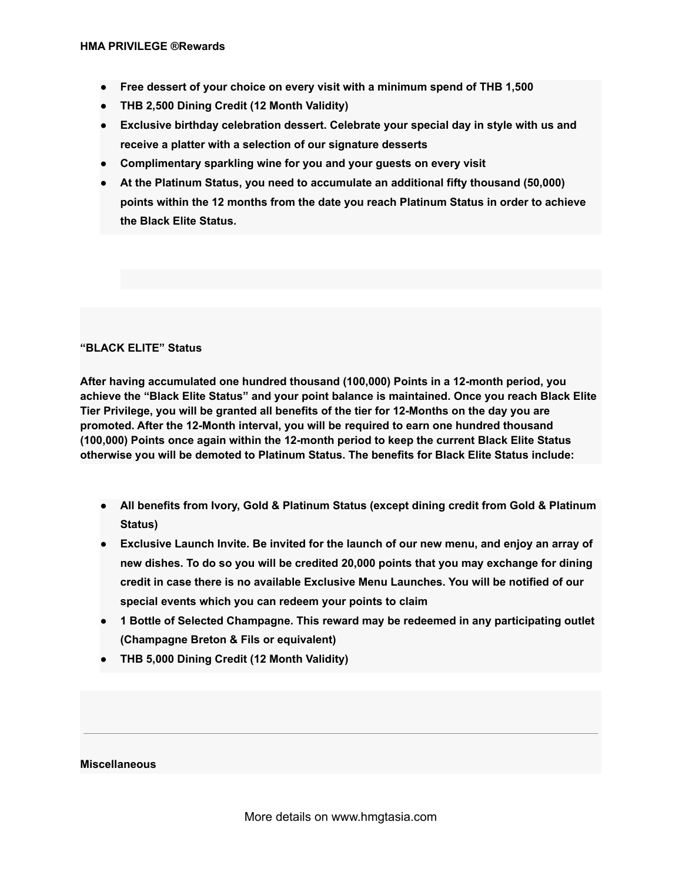- **● Free dessert of your choice on every visit with a minimum spend of THB 1,500**
- **● THB 2,500 Dining Credit (12 Month Validity)**
- **● Exclusive birthday celebration dessert. Celebrate your special day in style with us and receive a platter with a selection of our signature desserts**
- **● Complimentary sparkling wine for you and your guests on every visit**
- **● At the Platinum Status, you need to accumulate an additional fifty thousand (50,000) points within the 12 months from the date you reach Platinum Status in order to achieve the Black Elite Status.**

### **"BLACK ELITE" Status**

**After having accumulated one hundred thousand (100,000) Points in a 12-month period, you achieve the "Black Elite Status" and your point balance is maintained. Once you reach Black Elite Tier Privilege, you will be granted all benefits of the tier for 12-Months on the day you are promoted. After the 12-Month interval, you will be required to earn one hundred thousand (100,000) Points once again within the 12-month period to keep the current Black Elite Status otherwise you will be demoted to Platinum Status. The benefits for Black Elite Status include:**

- **● All benefits from Ivory, Gold & Platinum Status (except dining credit from Gold & Platinum Status)**
- **● Exclusive Launch Invite. Be invited for the launch of our new menu, and enjoy an array of new dishes. To do so you will be credited 20,000 points that you may exchange for dining credit in case there is no available Exclusive Menu Launches. You will be notified of our special events which you can redeem your points to claim**
- **● 1 Bottle of Selected Champagne. This reward may be redeemed in any participating outlet (Champagne Breton & Fils or equivalent)**
- **● THB 5,000 Dining Credit (12 Month Validity)**

#### **Miscellaneous**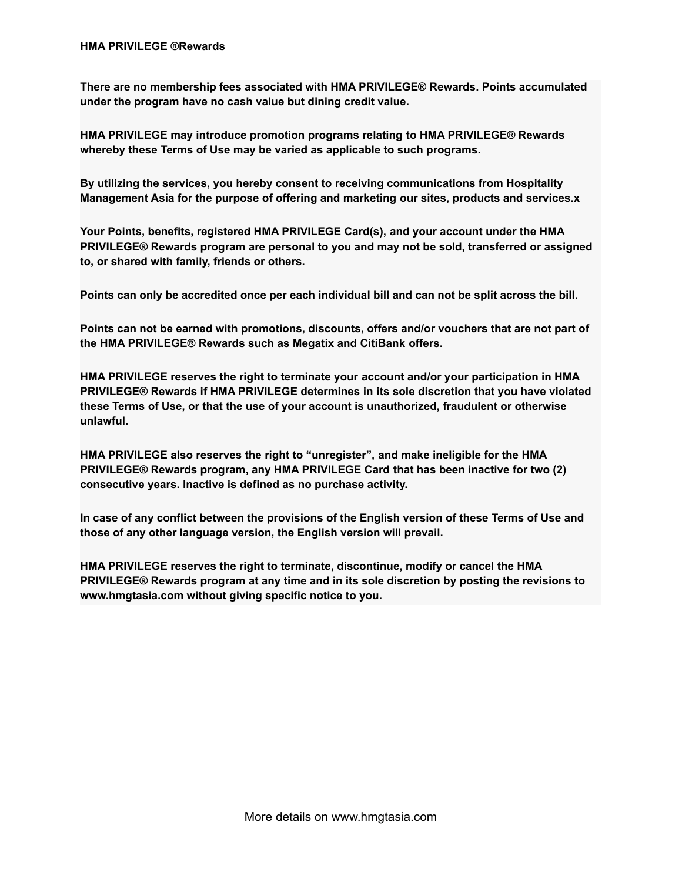**There are no membership fees associated with HMA PRIVILEGE® Rewards. Points accumulated under the program have no cash value but dining credit value.**

**HMA PRIVILEGE may introduce promotion programs relating to HMA PRIVILEGE® Rewards whereby these Terms of Use may be varied as applicable to such programs.**

**By utilizing the services, you hereby consent to receiving communications from Hospitality Management Asia for the purpose of offering and marketing our sites, products and services.x**

**Your Points, benefits, registered HMA PRIVILEGE Card(s), and your account under the HMA PRIVILEGE® Rewards program are personal to you and may not be sold, transferred or assigned to, or shared with family, friends or others.**

**Points can only be accredited once per each individual bill and can not be split across the bill.**

**Points can not be earned with promotions, discounts, offers and/or vouchers that are not part of the HMA PRIVILEGE® Rewards such as Megatix and CitiBank offers.**

**HMA PRIVILEGE reserves the right to terminate your account and/or your participation in HMA PRIVILEGE® Rewards if HMA PRIVILEGE determines in its sole discretion that you have violated these Terms of Use, or that the use of your account is unauthorized, fraudulent or otherwise unlawful.**

**HMA PRIVILEGE also reserves the right to "unregister", and make ineligible for the HMA PRIVILEGE® Rewards program, any HMA PRIVILEGE Card that has been inactive for two (2) consecutive years. Inactive is defined as no purchase activity.**

**In case of any conflict between the provisions of the English version of these Terms of Use and those of any other language version, the English version will prevail.**

**HMA PRIVILEGE reserves the right to terminate, discontinue, modify or cancel the HMA PRIVILEGE® Rewards program at any time and in its sole discretion by posting the revisions to www.hmgtasia.com without giving specific notice to you.**